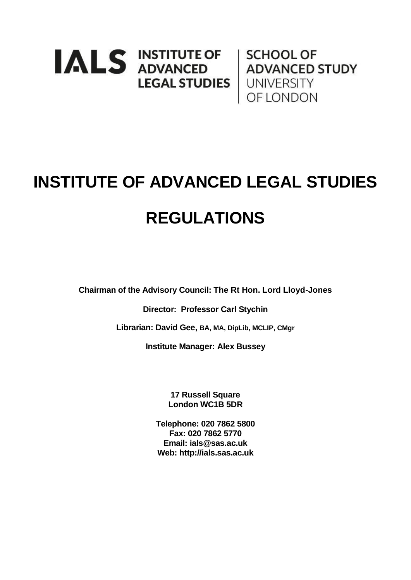# **IALS INSTITUTE OF SCHOOL OF ADVANCED STUDY LEGAL STUDIES** UNIVERSITY **OF LONDON**

# **INSTITUTE OF ADVANCED LEGAL STUDIES REGULATIONS**

**Chairman of the Advisory Council: The Rt Hon. Lord Lloyd-Jones** 

**Director: Professor Carl Stychin**

**Librarian: David Gee, BA, MA, DipLib, MCLIP, CMgr**

**Institute Manager: Alex Bussey**

**17 Russell Square London WC1B 5DR**

**Telephone: 020 7862 5800 Fax: 020 7862 5770 Email: ials@sas.ac.uk Web: http://ials.sas.ac.uk**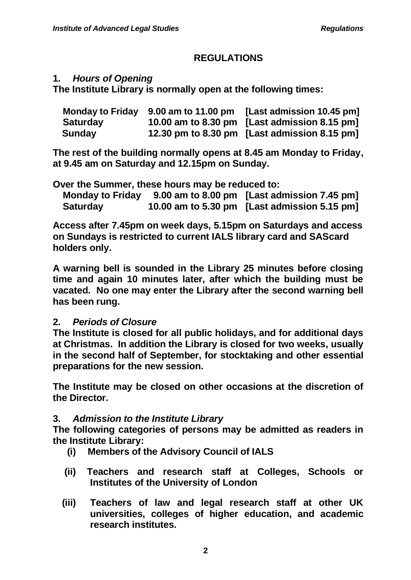# **REGULATIONS**

## **1.** *Hours of Opening*

**The Institute Library is normally open at the following times:**

|                 | Monday to Friday 9.00 am to 11.00 pm | [Last admission 10.45 pm]                    |
|-----------------|--------------------------------------|----------------------------------------------|
| <b>Saturday</b> |                                      | 10.00 am to 8.30 pm [Last admission 8.15 pm] |
| Sunday          |                                      | 12.30 pm to 8.30 pm [Last admission 8.15 pm] |

**The rest of the building normally opens at 8.45 am Monday to Friday, at 9.45 am on Saturday and 12.15pm on Sunday.**

**Over the Summer, these hours may be reduced to:**

| <b>Monday to Friday</b> | 9.00 am to 8.00 pm [Last admission 7.45 pm]  |
|-------------------------|----------------------------------------------|
| <b>Saturday</b>         | 10.00 am to 5.30 pm [Last admission 5.15 pm] |

**Access after 7.45pm on week days, 5.15pm on Saturdays and access on Sundays is restricted to current IALS library card and SAScard holders only.**

**A warning bell is sounded in the Library 25 minutes before closing time and again 10 minutes later, after which the building must be vacated. No one may enter the Library after the second warning bell has been rung.**

## **2.** *Periods of Closure*

**The Institute is closed for all public holidays, and for additional days at Christmas. In addition the Library is closed for two weeks, usually in the second half of September, for stocktaking and other essential preparations for the new session.**

**The Institute may be closed on other occasions at the discretion of the Director.**

# **3.** *Admission to the Institute Library*

**The following categories of persons may be admitted as readers in the Institute Library:**

- **(i) Members of the Advisory Council of IALS**
- **(ii) Teachers and research staff at Colleges, Schools or Institutes of the University of London**
- **(iii) Teachers of law and legal research staff at other UK universities, colleges of higher education, and academic research institutes.**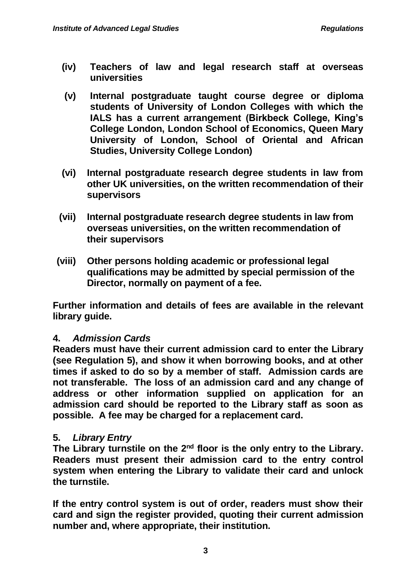- **(iv) Teachers of law and legal research staff at overseas universities**
- **(v) Internal postgraduate taught course degree or diploma students of University of London Colleges with which the IALS has a current arrangement (Birkbeck College, King's College London, London School of Economics, Queen Mary University of London, School of Oriental and African Studies, University College London)**
- **(vi) Internal postgraduate research degree students in law from other UK universities, on the written recommendation of their supervisors**
- **(vii) Internal postgraduate research degree students in law from overseas universities, on the written recommendation of their supervisors**
- **(viii) Other persons holding academic or professional legal qualifications may be admitted by special permission of the Director, normally on payment of a fee.**

**Further information and details of fees are available in the relevant library guide.**

## **4.** *Admission Cards*

**Readers must have their current admission card to enter the Library (see Regulation 5), and show it when borrowing books, and at other times if asked to do so by a member of staff. Admission cards are not transferable. The loss of an admission card and any change of address or other information supplied on application for an admission card should be reported to the Library staff as soon as possible. A fee may be charged for a replacement card.**

## **5.** *Library Entry*

The Library turnstile on the 2<sup>nd</sup> floor is the only entry to the Library. **Readers must present their admission card to the entry control system when entering the Library to validate their card and unlock the turnstile.**

**If the entry control system is out of order, readers must show their card and sign the register provided, quoting their current admission number and, where appropriate, their institution.**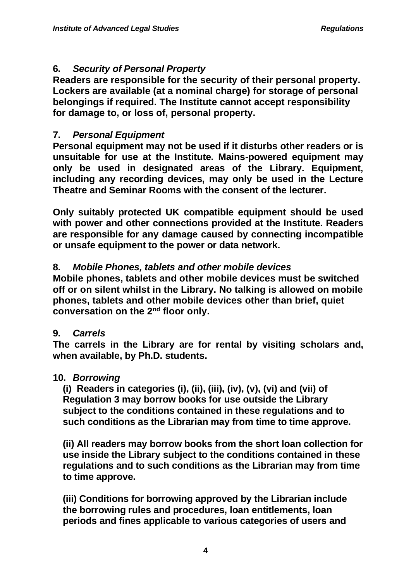# **6.** *Security of Personal Property*

**Readers are responsible for the security of their personal property. Lockers are available (at a nominal charge) for storage of personal belongings if required. The Institute cannot accept responsibility for damage to, or loss of, personal property.**

# **7.** *Personal Equipment*

**Personal equipment may not be used if it disturbs other readers or is unsuitable for use at the Institute. Mains-powered equipment may only be used in designated areas of the Library. Equipment, including any recording devices, may only be used in the Lecture Theatre and Seminar Rooms with the consent of the lecturer.**

**Only suitably protected UK compatible equipment should be used with power and other connections provided at the Institute. Readers are responsible for any damage caused by connecting incompatible or unsafe equipment to the power or data network.** 

# **8.** *Mobile Phones, tablets and other mobile devices*

**Mobile phones, tablets and other mobile devices must be switched off or on silent whilst in the Library. No talking is allowed on mobile phones, tablets and other mobile devices other than brief, quiet conversation on the 2nd floor only.**

## **9.** *Carrels*

**The carrels in the Library are for rental by visiting scholars and, when available, by Ph.D. students.**

## **10.** *Borrowing*

**(i) Readers in categories (i), (ii), (iii), (iv), (v), (vi) and (vii) of Regulation 3 may borrow books for use outside the Library subject to the conditions contained in these regulations and to such conditions as the Librarian may from time to time approve.**

**(ii) All readers may borrow books from the short loan collection for use inside the Library subject to the conditions contained in these regulations and to such conditions as the Librarian may from time to time approve.**

**(iii) Conditions for borrowing approved by the Librarian include the borrowing rules and procedures, loan entitlements, loan periods and fines applicable to various categories of users and**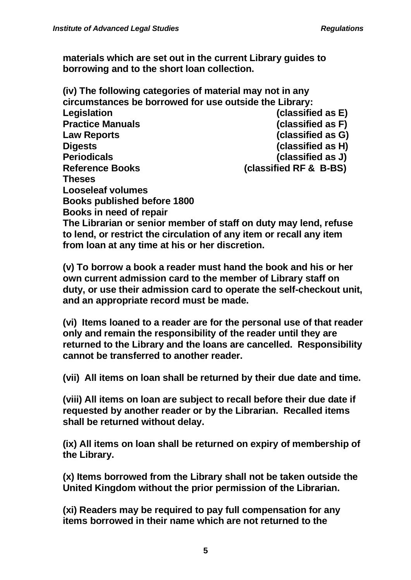**materials which are set out in the current Library guides to borrowing and to the short loan collection.**

| (iv) The following categories of material may not in any |                        |
|----------------------------------------------------------|------------------------|
| circumstances be borrowed for use outside the Library:   |                        |
| Legislation                                              | (classified as E)      |
| <b>Practice Manuals</b>                                  | (classified as F)      |
| <b>Law Reports</b>                                       | (classified as G)      |
| <b>Digests</b>                                           | (classified as H)      |
| <b>Periodicals</b>                                       | (classified as J)      |
| <b>Reference Books</b>                                   | (classified RF & B-BS) |
| Theses                                                   |                        |
| <b>Looseleaf volumes</b>                                 |                        |
| <b>Books published before 1800</b>                       |                        |
| Books in need of repair                                  |                        |

**The Librarian or senior member of staff on duty may lend, refuse to lend, or restrict the circulation of any item or recall any item from loan at any time at his or her discretion.**

**(v) To borrow a book a reader must hand the book and his or her own current admission card to the member of Library staff on duty, or use their admission card to operate the self-checkout unit, and an appropriate record must be made.**

**(vi) Items loaned to a reader are for the personal use of that reader only and remain the responsibility of the reader until they are returned to the Library and the loans are cancelled. Responsibility cannot be transferred to another reader.**

**(vii) All items on loan shall be returned by their due date and time.**

**(viii) All items on loan are subject to recall before their due date if requested by another reader or by the Librarian. Recalled items shall be returned without delay.**

**(ix) All items on loan shall be returned on expiry of membership of the Library.**

**(x) Items borrowed from the Library shall not be taken outside the United Kingdom without the prior permission of the Librarian.**

**(xi) Readers may be required to pay full compensation for any items borrowed in their name which are not returned to the**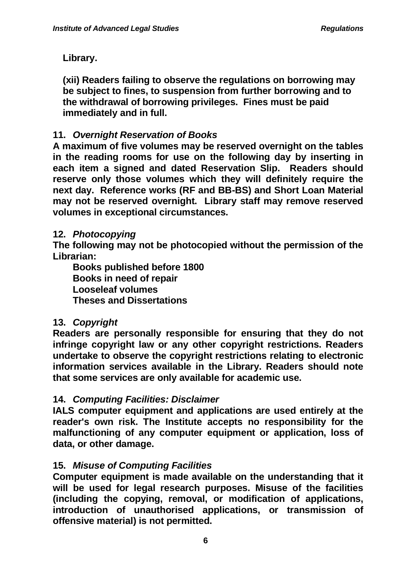**Library.**

**(xii) Readers failing to observe the regulations on borrowing may be subject to fines, to suspension from further borrowing and to the withdrawal of borrowing privileges. Fines must be paid immediately and in full.**

# **11.** *Overnight Reservation of Books*

**A maximum of five volumes may be reserved overnight on the tables in the reading rooms for use on the following day by inserting in each item a signed and dated Reservation Slip. Readers should reserve only those volumes which they will definitely require the next day. Reference works (RF and BB-BS) and Short Loan Material may not be reserved overnight. Library staff may remove reserved volumes in exceptional circumstances.**

## **12.** *Photocopying*

**The following may not be photocopied without the permission of the Librarian:**

**Books published before 1800 Books in need of repair Looseleaf volumes Theses and Dissertations**

## **13.** *Copyright*

**Readers are personally responsible for ensuring that they do not infringe copyright law or any other copyright restrictions. Readers undertake to observe the copyright restrictions relating to electronic information services available in the Library. Readers should note that some services are only available for academic use.**

## **14.** *Computing Facilities: Disclaimer*

**IALS computer equipment and applications are used entirely at the reader's own risk. The Institute accepts no responsibility for the malfunctioning of any computer equipment or application, loss of data, or other damage.** 

# **15.** *Misuse of Computing Facilities*

**Computer equipment is made available on the understanding that it will be used for legal research purposes. Misuse of the facilities (including the copying, removal, or modification of applications, introduction of unauthorised applications, or transmission of offensive material) is not permitted.**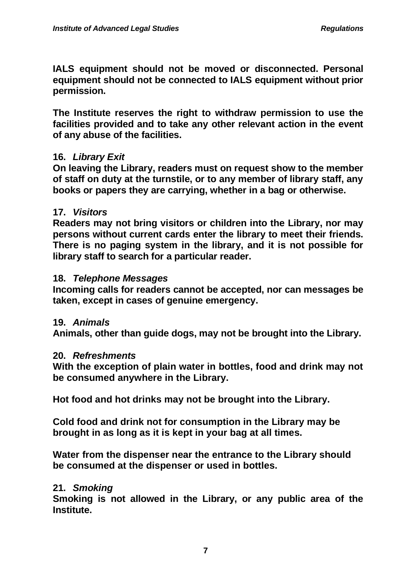**IALS equipment should not be moved or disconnected. Personal equipment should not be connected to IALS equipment without prior permission.**

**The Institute reserves the right to withdraw permission to use the facilities provided and to take any other relevant action in the event of any abuse of the facilities.** 

#### **16.** *Library Exit*

**On leaving the Library, readers must on request show to the member of staff on duty at the turnstile, or to any member of library staff, any books or papers they are carrying, whether in a bag or otherwise.**

#### **17.** *Visitors*

**Readers may not bring visitors or children into the Library, nor may persons without current cards enter the library to meet their friends. There is no paging system in the library, and it is not possible for library staff to search for a particular reader.**

#### **18.** *Telephone Messages*

**Incoming calls for readers cannot be accepted, nor can messages be taken, except in cases of genuine emergency.**

#### **19.** *Animals*

**Animals, other than guide dogs, may not be brought into the Library.**

#### **20.** *Refreshments*

**With the exception of plain water in bottles, food and drink may not be consumed anywhere in the Library.**

**Hot food and hot drinks may not be brought into the Library.**

**Cold food and drink not for consumption in the Library may be brought in as long as it is kept in your bag at all times.**

**Water from the dispenser near the entrance to the Library should be consumed at the dispenser or used in bottles.**

## **21.** *Smoking*

**Smoking is not allowed in the Library, or any public area of the Institute.**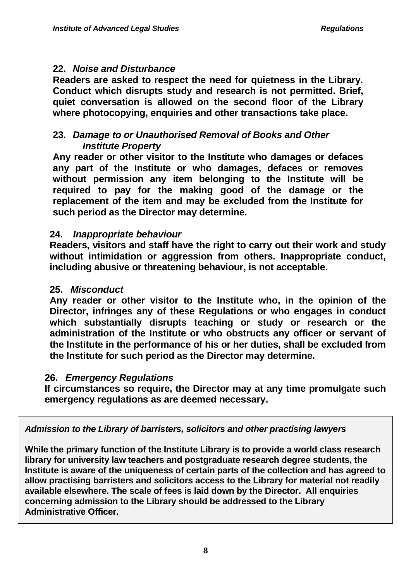#### **22.** *Noise and Disturbance*

**Readers are asked to respect the need for quietness in the Library. Conduct which disrupts study and research is not permitted. Brief, quiet conversation is allowed on the second floor of the Library where photocopying, enquiries and other transactions take place.**

# **23.** *Damage to or Unauthorised Removal of Books and Other Institute Property*

**Any reader or other visitor to the Institute who damages or defaces any part of the Institute or who damages, defaces or removes without permission any item belonging to the Institute will be required to pay for the making good of the damage or the replacement of the item and may be excluded from the Institute for such period as the Director may determine.**

#### **24.** *Inappropriate behaviour*

**Readers, visitors and staff have the right to carry out their work and study without intimidation or aggression from others. Inappropriate conduct, including abusive or threatening behaviour, is not acceptable.**

#### **25.** *Misconduct*

**Any reader or other visitor to the Institute who, in the opinion of the Director, infringes any of these Regulations or who engages in conduct which substantially disrupts teaching or study or research or the administration of the Institute or who obstructs any officer or servant of the Institute in the performance of his or her duties, shall be excluded from the Institute for such period as the Director may determine.**

## **26.** *Emergency Regulations*

**If circumstances so require, the Director may at any time promulgate such emergency regulations as are deemed necessary.**

*Admission to the Library of barristers, solicitors and other practising lawyers*

**While the primary function of the Institute Library is to provide a world class research library for university law teachers and postgraduate research degree students, the Institute is aware of the uniqueness of certain parts of the collection and has agreed to allow practising barristers and solicitors access to the Library for material not readily available elsewhere. The scale of fees is laid down by the Director. All enquiries concerning admission to the Library should be addressed to the Library Administrative Officer.**